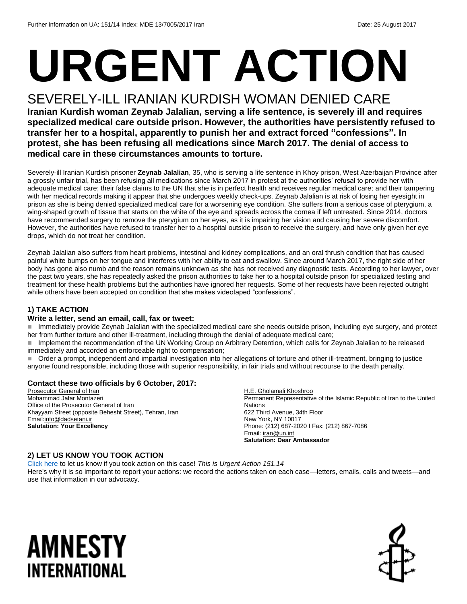# **URGENT ACTION**

#### SEVERELY-ILL IRANIAN KURDISH WOMAN DENIED CARE

**Iranian Kurdish woman Zeynab Jalalian, serving a life sentence, is severely ill and requires specialized medical care outside prison. However, the authorities have persistently refused to transfer her to a hospital, apparently to punish her and extract forced "confessions". In protest, she has been refusing all medications since March 2017. The denial of access to medical care in these circumstances amounts to torture.**

Severely-ill Iranian Kurdish prisoner **Zeynab Jalalian**, 35, who is serving a life sentence in Khoy prison, West Azerbaijan Province after a grossly unfair trial, has been refusing all medications since March 2017 in protest at the authorities' refusal to provide her with adequate medical care; their false claims to the UN that she is in perfect health and receives regular medical care; and their tampering with her medical records making it appear that she undergoes weekly check-ups. Zeynab Jalalian is at risk of losing her eyesight in prison as she is being denied specialized medical care for a worsening eye condition. She suffers from a serious case of pterygium, a wing-shaped growth of tissue that starts on the white of the eye and spreads across the cornea if left untreated. Since 2014, doctors have recommended surgery to remove the pterygium on her eyes, as it is impairing her vision and causing her severe discomfort. However, the authorities have refused to transfer her to a hospital outside prison to receive the surgery, and have only given her eye drops, which do not treat her condition.

Zeynab Jalalian also suffers from heart problems, intestinal and kidney complications, and an oral thrush condition that has caused painful white bumps on her tongue and interferes with her ability to eat and swallow. Since around March 2017, the right side of her body has gone also numb and the reason remains unknown as she has not received any diagnostic tests. According to her lawyer, over the past two years, she has repeatedly asked the prison authorities to take her to a hospital outside prison for specialized testing and treatment for these health problems but the authorities have ignored her requests. Some of her requests have been rejected outright while others have been accepted on condition that she makes videotaped "confessions".

#### **1) TAKE ACTION**

#### **Write a letter, send an email, call, fax or tweet:**

■ Immediately provide Zeynab Jalalian with the specialized medical care she needs outside prison, including eye surgery, and protect her from further torture and other ill-treatment, including through the denial of adequate medical care;

■ Implement the recommendation of the UN Working Group on Arbitrary Detention, which calls for Zeynab Jalalian to be released immediately and accorded an enforceable right to compensation;

 Order a prompt, independent and impartial investigation into her allegations of torture and other ill-treatment, bringing to justice anyone found responsible, including those with superior responsibility, in fair trials and without recourse to the death penalty.

#### **Contact these two officials by 6 October, 2017:**

Prosecutor General of Iran Mohammad Jafar Montazeri Office of the Prosecutor General of Iran Khayyam Street (opposite Behesht Street), Tehran, Iran Emai[l:info@dadsetani.ir](mailto:info@dadsetani.ir) **Salutation: Your Excellency** 

H.E. Gholamali Khoshroo Permanent Representative of the Islamic Republic of Iran to the United **Nations** 622 Third Avenue, 34th Floor New York, NY 10017 Phone: (212) 687-2020 I Fax: (212) 867-7086 Email[: iran@un.int](mailto:iran@un.int) **Salutation: Dear Ambassador**

#### **2) LET US KNOW YOU TOOK ACTION**

[Click here](https://docs.google.com/forms/d/e/1FAIpQLSf3RUspces4lA9Gt7Fp9GiAcojCs6fnfFOTCLli3Su6c3S8ew/viewform) to let us know if you took action on this case! *This is Urgent Action 151.14* Here's why it is so important to report your actions: we record the actions taken on each case—letters, emails, calls and tweets—and use that information in our advocacy.

### AMNESTY INTERNATIONAL